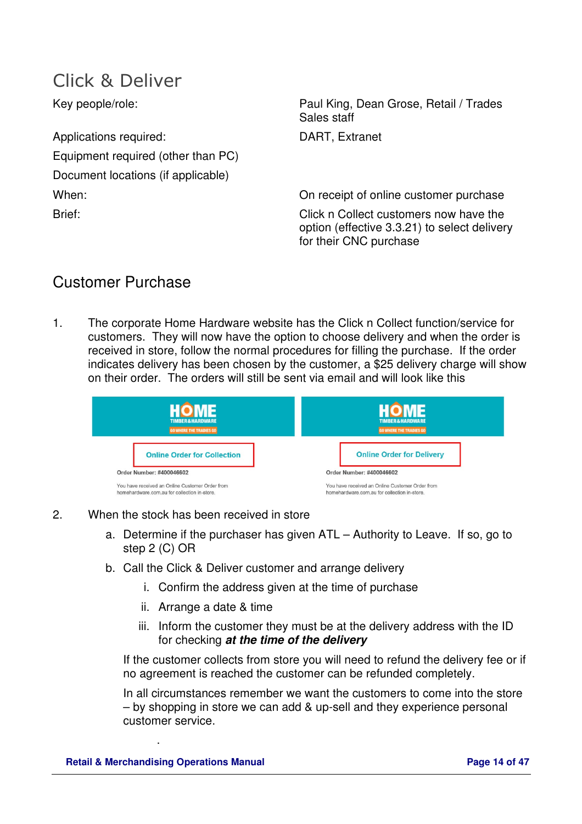# Click & Deliver

Applications required: DART, Extranet Equipment required (other than PC) Document locations (if applicable)

Key people/role: **Paul King, Dean Grose, Retail / Trades** Sales staff

When:  $\blacksquare$  On receipt of online customer purchase

Brief: Exercise 2.1 Click n Collect customers now have the option (effective 3.3.21) to select delivery for their CNC purchase

## Customer Purchase

1. The corporate Home Hardware website has the Click n Collect function/service for customers. They will now have the option to choose delivery and when the order is received in store, follow the normal procedures for filling the purchase. If the order indicates delivery has been chosen by the customer, a \$25 delivery charge will show on their order. The orders will still be sent via email and will look like this



- 2. When the stock has been received in store
	- a. Determine if the purchaser has given ATL Authority to Leave. If so, go to step 2 (C) OR
	- b. Call the Click & Deliver customer and arrange delivery
		- i. Confirm the address given at the time of purchase
		- ii. Arrange a date & time
		- iii. Inform the customer they must be at the delivery address with the ID for checking **at the time of the delivery**

If the customer collects from store you will need to refund the delivery fee or if no agreement is reached the customer can be refunded completely.

In all circumstances remember we want the customers to come into the store – by shopping in store we can add & up-sell and they experience personal customer service.

.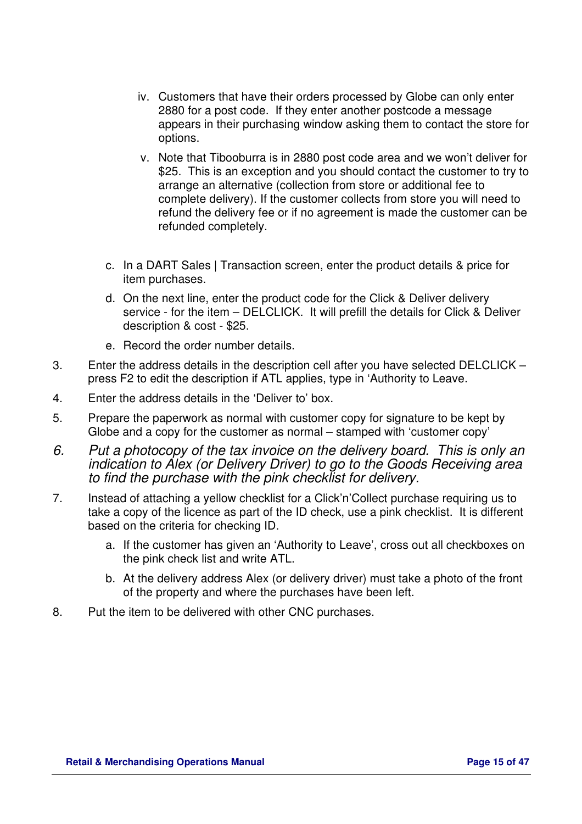- iv. Customers that have their orders processed by Globe can only enter 2880 for a post code. If they enter another postcode a message appears in their purchasing window asking them to contact the store for options.
- v. Note that Tibooburra is in 2880 post code area and we won't deliver for \$25. This is an exception and you should contact the customer to try to arrange an alternative (collection from store or additional fee to complete delivery). If the customer collects from store you will need to refund the delivery fee or if no agreement is made the customer can be refunded completely.
- c. In a DART Sales | Transaction screen, enter the product details & price for item purchases.
- d. On the next line, enter the product code for the Click & Deliver delivery service - for the item – DELCLICK. It will prefill the details for Click & Deliver description & cost - \$25.
- e. Record the order number details.
- 3. Enter the address details in the description cell after you have selected DELCLICK press F2 to edit the description if ATL applies, type in 'Authority to Leave.
- 4. Enter the address details in the 'Deliver to' box.
- 5. Prepare the paperwork as normal with customer copy for signature to be kept by Globe and a copy for the customer as normal – stamped with 'customer copy'
- 6. Put a photocopy of the tax invoice on the delivery board. This is only an indication to Alex (or Delivery Driver) to go to the Goods Receiving area to find the purchase with the pink checklist for delivery.
- 7. Instead of attaching a yellow checklist for a Click'n'Collect purchase requiring us to take a copy of the licence as part of the ID check, use a pink checklist. It is different based on the criteria for checking ID.
	- a. If the customer has given an 'Authority to Leave', cross out all checkboxes on the pink check list and write ATL.
	- b. At the delivery address Alex (or delivery driver) must take a photo of the front of the property and where the purchases have been left.
- 8. Put the item to be delivered with other CNC purchases.